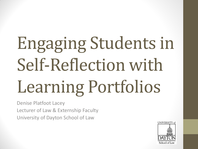# Engaging Students in Self-Reflection with Learning Portfolios

Denise Platfoot Lacey Lecturer of Law & Externship Faculty University of Dayton School of Law

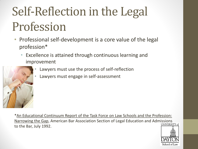# Self-Reflection in the Legal Profession

- Professional self-development is a core value of the legal profession\*
	- Excellence is attained through continuous learning and improvement
		- Lawyers must use the process of self-reflection
		- Lawyers must engage in self-assessment

\*An Educational Continuum Report of the Task Force on Law Schools and the Profession: Narrowing the Gap, American Bar Association Section of Legal Education and Admissions to the Bar, July 1992.

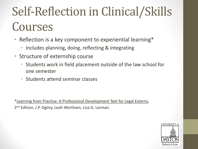# Self-Reflection in Clinical/Skills Courses

- Reflection is a key component to experiential learning\*
	- Includes planning, doing, reflecting & integrating
- Structure of externship course
	- Students work in field placement outside of the law school for one semester
	- Students attend seminar classes

\*Learning from Practice: A Professional Development Text for Legal Externs, 2<sup>nd</sup> Edition, J.P. Ogilvy, Leah Wortham, Lisa G. Lerman.

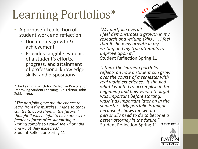# Learning Portfolios\*

- A purposeful collection of student work and reflection
	- Documents growth & achievement
	- Provides tangible evidence of a student's efforts, progress, and attainment of professional knowledge, skills, and dispositions

\*The Learning Portfolio: Reflective Practice for Improving Student Learning, 2<sup>nd</sup> Edition, John Zubizarreta.

*"The portfolio gave me the chance to learn from the mistakes I made so that I can try to avoid them in the future. I thought it was helpful to have access to feedback forms after submitting a writing sample so I could see what I did and what they expected."*  Student Reflection Spring 11

*"My portfolio overall I feel demonstrates a growth in my research and writing skills . . . I feel that it show my growth in my writing and my true attempts to improve upon it."*  Student Reflection Spring 11

*"I think the learning portfolio reflects on how a student can grow over the course of a semester with real world experience. It showed what I wanted to accomplish in the beginning and how what I thought was important before starting, wasn't as important later on in the semester… My portfolio is unique because it shows me what I personally need to do to become a better attorney in the future."*  Student Reflection Spring 11UNIVERSITY of

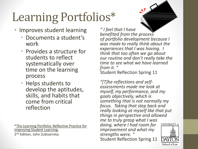# Learning Portfolios\*

- Improves student learning
	- Documents a student's work
	- Provides a structure for students to reflect systematically over time on the learning process
	- Helps students to develop the aptitudes, skills, and habits that come from critical reflection

\*The Learning Portfolio: Reflective Practice for Improving Student Learning, 2<sup>nd</sup> Edition, John Zubizarreta.

*" I feel that I have benefited from the process of portfolio development because I was made to really think about the experiences that I was having. I think that too often we go about our routine and don't really take the time to see what we have learned from it. "*  Student Reflection Spring 11

*"[T]he reflections and selfassessments made me look at myself, my performance, and my goals objectively, which is something that is not normally my focus. Taking that step back and really looking at myself like that put things in perspective and allowed me to truly grasp what I was doing, where I had room for*  UNIVERSITY of *improvement and what my strengths were. "* Student Reflection Spring 11

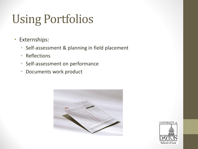# Using Portfolios

- Externships:
	- Self-assessment & planning in field placement
	- Reflections
	- Self-assessment on performance
	- Documents work product



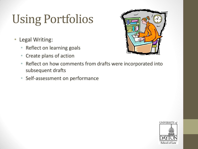# Using Portfolios

- Legal Writing:
	- Reflect on learning goals
	- Create plans of action



- Reflect on how comments from drafts were incorporated into subsequent drafts
- Self-assessment on performance

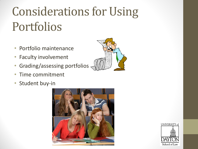# Considerations for Using Portfolios

- Portfolio maintenance
- Faculty involvement
- Grading/assessing portfolios
- Time commitment
- Student buy-in





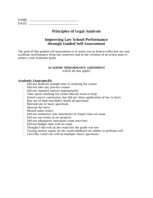| <b>NIA ME</b> | ----------------------<br>__ |
|---------------|------------------------------|
| <b>DAT</b>    | ___________________<br>--    |

# **Principles of Legal Analysis**

# **Improving Law School Performance through Guided Self-Assessment**

The goal of this guided self-assessment is to assist you in honest reflection on your academic performance from last semester and in the creation of an action plan to achieve your academic goals.

# **ACADEMIC PERFORMANCE ASSESSMENT** (check all that apply)

# **Academic: Exam-specific**

- $\Box$  Did not dedicate enough time to studying for exams
- $\Box$  Did not take any practice exams
- $\Box$  Did not organize answer appropriately
- $\Box$  Time spent studying for exams did not seem to help
- $\Box$  Stated correct conclusion, but did not show application of law to facts
- $\Box$  Ran out of time and didn't finish all questions
- □ Misread one or more questions
- Misread the facts
- Missed some issues
- $\Box$  Did not memorize rule statements or forgot rules on exam
- $\Box$  Did not use terms of art properly
- $\Box$  Did not adequately anticipate exam structure
- $\Box$  Did not budget time well on exam
- $\Box$  Thought I did well on the exam but the grade was low
- $\Box$  Testing anxiety (panic on the exam) inhibited my ability to perform well
- $\Box$  I feel like I don't do well on multiple choice questions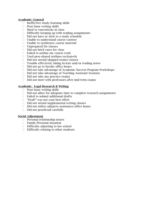# **Academic: General**

- $\Box$  Ineffective study/learning skills
- $\Box$  Poor basic writing skills
- $\Box$  Hard to concentrate in class
- $\Box$  Difficulty keeping up with reading assignments
- $\Box$  Did not have or stick to a study schedule
- □ Unable to understand course content
- $\Box$  Unable to synthesize course material
- □ Unprepared for classes
- $\Box$  Did not brief cases for class
- $\Box$  Failed to outline my course work
- $\Box$  Used peer-shared outlines exclusively
- $\Box$  Did not attend/skipped (some) classes
- $\Box$  Trouble effectively taking lecture and/or reading notes
- $\Box$  Did not go to faculty office hours
- $\Box$  Did not take advantage of Academic Success Program Workshops
- □ Did not take advantage of Teaching Assistant Sessions
- $\Box$  Did not take any practice exams
- $\Box$  Did not meet with professors after mid-term exams

# **Academic: Legal Research & Writing**

- $\Box$  Poor basic writing skills
- $\Box$  Did not allow for adequate time to complete research assignments
- $\Box$  Failed to submit additional drafts
- □ "Draft" was not your best effort
- $\Box$  Did not attend supplemental writing classes
- $\Box$  Did not utilize adjuncts assistance/office hours
- □ Did not proofread carefully

# **Social Adjustment**

- $\Box$  Personal relationship issues
- □ Family/Personal situation
- $\Box$  Difficulty adjusting to law school
- $\Box$  Difficulty relating to other students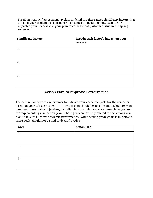Based on your self-assessment, explain in detail the **three most significant factors** that affected your academic performance last semester, including how each factor impacted your success and your plan to address that particular issue in the spring semester.

| <b>Significant Factors</b> | Explain each factor's impact on your<br>success |
|----------------------------|-------------------------------------------------|
| 1.                         |                                                 |
| 2.                         |                                                 |
| 3.                         |                                                 |

# **Action Plan to Improve Performance**

The action plan is your opportunity to indicate your academic goals for the semester based on your self-assessment. The action plan should be specific and include relevant dates and measurable objectives, including how you plan to be accountable to yourself for implementing your action plan. These goals are directly related to the actions you plan to take to improve academic performance. While setting grade goals is important, these goals should not be tied to desired grades.

| Goal | <b>Action Plan</b> |
|------|--------------------|
| 1.   |                    |
|      |                    |
|      |                    |
| 2.   |                    |
|      |                    |
|      |                    |
| 3.   |                    |
|      |                    |
|      |                    |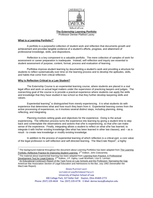

**The Externship Learning Portfolio**

Professor Denise Platfoot Lacey

# **What is a Learning Portfolio? 1**

A portfolio is a purposeful collection of student work and reflection that documents growth and achievement and provides tangible evidence of a student's efforts, progress, and attainment of professional knowledge, skills, and dispositions.

Reflection is a key component to a valuable portfolio. The mere collection of samples of work for assessment or career preparation is inadequate. Instead, self-reflection and inquiry are essential to student assessment of purpose, content, format, process and evaluation of learning.

Portfolios improve student learning by documenting a student's work and providing a structure for students to reflect systematically over time on the learning process and to develop the aptitudes, skills, and habits that come from critical reflection.

### **Why is Reflection Critical to a Law Student?**

The Externship Course is an experiential learning course, where students are placed in a real legal office and work on actual legal matters under the supervision of practicing lawyers and judges. The overarching goal of the course is to provide a practical experience where students can apply the skills and knowledge that they have studied in law school so that they further develop lawyering skills and values.

Experiential learning<sup>2</sup> is distinguished from merely experiencing. It is what students do with experience that determines what and how much they learn from it. Experiential learning comes from the active processing of experiences, so it involves several distinct steps, including planning, doing, reflecting, and integrating.

Planning involves setting goals and objectives for the experience. Doing is the actual experiencing. The reflection process turns the experience into learning by giving a student time to step back and contemplate the observations and actions that s/he is experiencing, so that s/he can make sense of the experience. Finally, integrating allows a student to reflect on what s/he has learned, to integrate it with his/her existing knowledge (like what has been learned in other law classes), and – as a result - to create new knowledge or modify existing knowledge.

In addition to the process of experiential learning of which reflection is a critical part, a core value of the legal profession is self-reflection and self-directed learning. The MacCrate Report<sup>3</sup>, a highly

An Educational Continuum Report of the Task Force on Law Schools and the Profession: Narrowing the Gap, American Bar Association Section of Legal Education and Admissions to the Bar, July 1992 (hereinafter the MacCrate Report).

DENISE PLATFOOT LACEY

LECTURER OF LAW/EXTERNSHIP FACULTY University of Dayton School of Law

300 College Park, 327 Keller Hall Dayton, Ohio 45469-2772

Phone: (937) 229-4634 Fax: (937) 229-4778 E-Mail: denise.lacey@udayton.edu

<sup>————————————————————&</sup>lt;br><sup>1</sup> The background material throughout this document about Learning Portfolios has been adapted from <u>The Learning</u> Portfolio: Reflective Practice for Improving Student Learning, 2<sup>nd</sup> Edition, John Zubizarreta.

<sup>&</sup>lt;sup>2</sup> The material about experiential learning has been adapted from Learning from Practice: A Professional Development Text for Legal Externs, 2<sup>nd</sup> Edition, J.P. Ogilvy, Leah Wortham, Lisa G. Lerman.<br><sup>3</sup> Ap Educational Centinuum Benert of the Teak Earse an Law Schools and the Profession: No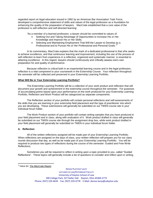regarded report on legal education issued in 1992 by an American Bar Association Task Force, developed a comprehensive statement of skills and values of the legal profession as a foundation for enhancing the quality of the preparation of lawyers. MacCrate established that a core value of the profession is self-reflection and self-directed learning:

"As a member of a learned profession, a lawyer should be committed to values of:

- Seeking Out and Taking Advantage of Opportunities to Increase His or Her Knowledge and Improve His or Her Skills;
- Selecting and Maintaining Employment That Will the Lawyer to Develop as a Professional and to Pursue His or Her Professional and Personal Goals."4

In its commentary, MacCrate explains that the mark of a dedicated professional is that s/he seeks to achieve excellence, and that continuous learning and improvement, including the use of the process of self-reflection to learn from experience in a reflective, organized and systematic manner, is essential to attaining excellence. In this regard, lawyers should continuously and critically assess one's own preparation for and quality of performance.

Because reflection is critical both in an experiential learning course and in the legal profession, reflection is a vital component to your coursework in the Externship Course. Your reflection throughout the semester will be collected and preserved in your Externship Learning Portfolio.

### **What Will Be in Your Externship Learning Portfolio?**

The Externship Learning Portfolio will be a collection of your work product and reflection that will document your growth and achievement in the externship course throughout the semester. For purposes of accumulating points based upon your performance on the work produced for your Externship Learning Portfolio, Reflection and Work Product will be categorized as separate components.

The Reflection section of your portfolio will contain personal reflections and self-assessments of the skills that you are learning in your externship field placement and the type of practitioner into which you are developing. These submissions will generally be submitted on our TWEN course site in your individual forum folder.

The Work Product section of your portfolio will contain writing samples that you have produced in your field placement and in class, along with evaluation of it. Work product drafted in class will generally be submitted on our TWEN course site through the assignment drop box, while work product drafted in your field placement will generally be submitted on TWEN in your individual forum folder.

#### **A. Reflection**

 $\overline{a}$ 

All of the written reflections assigned will be made part of your Externship Learning Portfolio. When reflections are assigned on the days of class, your written reflection will prepare you for our class rounds discussion that day, as well as be made part of your Externship Learning Portfolio. You will be required to produce two types of reflections during the course of the semester: Guided and Free-Write Reflections.

Sometimes you will be required to reflect in writing upon a topic provided to you, called "Guided Reflections". These topics will generally include a list of questions to consider and reflect upon in writing.

<sup>4</sup> Value §4, The MacCrate Report.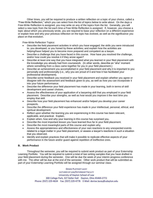Other times, you will be required to produce a written reflection on a topic of your choice, called a "Free-Write Reflection," which you can select from the list of topics below to write about. On the days a Free-Write Reflection is assigned, you may write on any of the topics from the list. Generally, you will select a new topic from the list each time a Free-Write Reflection is assigned. If, however, you choose a topic about which you previously wrote, you are required to base your reflection on a different experience or explain how and why your previous reflection on the topic has evolved, as well as the significance you place on that evolution.

Free-Write Reflection Topics:

- Describe the field placement activities in which you have engaged; the skills you were introduced to, you developed, or you honed by these activities; and explain how the activities are helping/have helped you to become more prepared and competent as a lawyer.
- Describe a challenge that you have faced in this course. How have you resolved the challenge, and/or how could you resolve it if they arose again?
- Describe at least one way that you have integrated what you learned in your filed placement with the knowledge you already had from coursework. (In other words, describe an "aha" moment where something from a class came together for you in your field placement.)
- Describe an achievement you accomplished in your field placement and why it is important to you personally and professionally (i.e., why you are proud of it and how it has facilitated your professional development).
- Describe some feedback you received in your field placement and explain whether you agree or disagree with the assessment and feedback given to you, as well as how you can incorporate it into your future performance.
- Describe the difference your field placement has made in your learning, both in terms of skill development and career choices.
- Assess the effectiveness of your application of a lawyering skill that you employed in your field placement. Describe your strengths, as well as how would you improve it the next time you employ that skill.
- Describe how your field placement has enhanced and/or helped you develop your career prospects.
- Describe the difference your field experience has made in your intellectual, personal, ethical, and spiritual development.
- Reflect upon whether the learning you are experiencing in this course has been relevant, applicable, and practical. Explain.
- Explain when, how and why your learning in this course has surprised you.
- Describe the most important lesson you have learned thus far in your field placement.
- Describe the most meaningful parts of this course and explain why.
- Assess the appropriateness and effectiveness of your own reactions to any unexpected events related to a legal matter in your field placement, or assess a lawyer's reactions in such a situation that you observed.
- Identify and explain practices that will make it possible to replicate effective aspects of your performance in the future and/or guard against repetition of ineffective ones.

## **B. Work Product**

Throughout the semester, you will be required to submit work product as part of your Externship Learning Portfolio. You will be required to submit a total of two writing samples that you have drafted in your field placement during the semester. One will be due the week of your interim progress conference with me. The other will be due at the end of the semester. Other work product that will be submitted as part of your Externship Learning Portfolio will be assigned through our seminar class.

DENISE PLATFOOT LACEY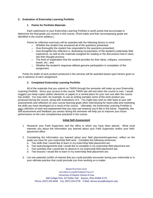# **C. Evaluation of Externship Learning Portfolio**

### **1. Points for Portfolio Materials**

Each submission to your Externship Learning Portfolio is worth points that accumulate to determine the final grade you receive in this course. (Point totals and their accompanying grade are identified in the course syllabus.)

Points for reflection exercises will be awarded with the following factors in mind:

- o Whether the student has answered all of the questions presented;
- o How thoroughly the student has responded to the questions presented;
- $\circ$  How thoughtful the reflection is, illustrating incorporation of the student's externship field experience, as well as the materials assigned for reading or the discussions had in class, into their thought process;
- $\circ$  The level of explanation that the student provides for their ideas, critiques, conclusions drawn, etc.; and
- $\circ$  Whether the student's response reflects genuine participation in completion of the assignment.

Points for drafts of work product produced in the seminar will be awarded based upon factors given to you in advance of each assignment.

## **2. Completed Externship Learning Portfolio**

All of the materials that you submit on TWEN through the semester will make up your Externship Learning Portfolio. Since your access to the course TWEN site will end when the course is over, I would suggest you keep copies (either electronic or paper) in a central place for your own use after the course has ended. You may wish, for example, to use as writing samples some of the work product you produced during the course, along with evaluations of it. You might also wish to refer back to your selfassessments and reflection on your course learning goals when interviewing for future jobs and marketing the skills you have developed as a result of the course. Ultimately, the Externship Learning Portfolio is your collection of work and assessment that you may use however you'd like in the future. Hopefully, the self-assessment and feedback you amass during the semester will help you to improve your future performance on the core competencies practiced in the course.

#### **Initial Self-Assessment**

- 1. Research your Field Supervisor and the office in which you have been placed. What most interests you about the information you learned about your Field Supervisor and/or your fieldplacement office.
- 2. Considering the information you learned about your field placement/supervisor, reflect on the goals you have for your externship field work. Complete the following sentences:
	- a. Two skills that I would like to learn in my externship field placement are:
	- b. Two tasks/assignments that I would like to complete in my externship field placement are:
	- c. Two activities that I would like to observe in my externship field placement are:
	- d. Two lessons I would like to learn in my externship field placement are:
- 3. List one potential conflict of interest that you could possibly encounter during your externship or in your ultimate practice that could preclude you from working on a matter.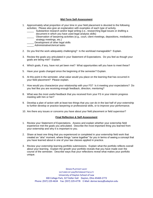## **Mid-Term Self-Assessment**

- 1. Approximately what proportion of your time in your field placement is devoted to the following activities: Please also give an explanation with examples of each type of activity.
	- Substantive research and/or legal writing (i.e., researching legal issues or drafting a document in which you have used legal analysis skills)
	- \_\_\_\_\_ Observation of lawyering activities (e.g., court, client meetings, depositions, mediations, strategy meetings, etc.)
	- \_ Development of other legal skills
	- Administrative/clerical tasks
- 2. Do you find the work adequately challenging? Is the workload manageable? Explain.
- 3. Review the goals you articulated in your Statement of Expectations. Do you feel as though your goals are being met? Explain.
- 4. Which goals, if any, have not yet been met? What opportunities will you have to meet these?
- 5. Have your goals changed since the beginning of the semester? Explain.
- 6. At this point in the semester, what value would you place on the learning that has occurred in your field placement? Please explain.
- 7. How would you characterize your relationship with your FS? Is it meeting your expectations? Do you feel like you are receiving enough feedback, direction, mentoring?
- 8. What was the most useful feedback that you received from your FS in your interim progress meeting with him or her?
- 9. Develop a plan of action with at least two things that you can do in the last half of your externship to further develop or practice lawyering or professional skills, or to improve your performance.
- 10. Are there any issues or concerns you have about your field placement or field supervisor?

## **Final Reflection & Self-Assessment**

- 1. Review your Statement of Expectations. Assess and explain whether your externship field experience met the goals you articulated. Describe the most important thing you learned from your externship and why it is important to you.
- 2. Share at least one thing that you experienced or completed in your externship field work that created an "aha" moment, where things "came together" for you in terms of seeing a concept that you have learned about in one of your law classes applied in practice.
- 3. Review your externship learning portfolio submissions. Explain what the portfolio reflects overall about your learning. Explain the growth your portfolio reveals that you have made over the course of the semester. Describe ways that your reflections reveal what makes your portfolio unique.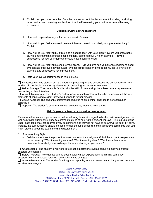4. Explain how you have benefited from the process of portfolio development, including producing work product and receiving feedback on it and self-assessing your performance and learning experience.

# **Client Interview Self-Assessment**

- 1. How well prepared were you for the interview? Explain.
- 2. How well do you feel you asked relevant follow-up questions to clarify and probe effectively? Explain.
- 3. How well do you feel you built trust and a good rapport with your client? (Were you empathetic, caring, understanding, professional, confident, comfortable?) Give an example. Provide suggestions for how your demeanor could have been improved.
- 4. How well do you feel you listened to your client? (Did you give non-verbal encouragement, good eye contact, effective body language, avoided distractions and interruptions, etc.?) Provide an example and suggestions for improvement.
- 5. Rate your overall performance in this exercise:

 $\Box$  Unacceptable: The student put little effort into preparing for and conducting the client interview. The student did not implement the key elements of conducting a successful interview.

 $\Box$  Below Average: The student is familiar with the skill of interviewing, but missed some key elements of conducting a client interview.

 $\Box$  Acceptable/Average: The student's performance was satisfactory in that s/he demonstrated the key elements of conducting a client interview, but needs further practice.

 Above Average: The student's performance requires minimal minor changes to perfect his/her technique.

 $\Box$  Superior: The student's performance was exceptional, requiring no changes.

## **Field Supervisor Feedback on Writing Assignment**

Please rate the student's performance on the following items with regard to his/her writing assignment, as well as provide substantive, specific comments aimed at helping the student improve. The sub-questions under each topic may not apply to every assignment, and they do not have to be answered point-by-point. Instead, the sub-questions should be used to elicit the type of specific and substantive comments that you might provide about the student's writing assignment.

1. Format/Writing Style:

 Did the student use the proper format/structure for the assignment? Did the student use particular terms correctly? Was the writing concise? Was the writing clear? Was the student's work comparable to what you would expect from an attorney in your office?

 $\Box$  Unacceptable: The student's writing fails to meet expectations overall, requiring many significant substantive changes.

 $\Box$  Below Average: The student's writing does not fully meet expectations, is missing some key substantive content and/or requires some substantive changes.

 $\Box$  Acceptable/Average: The student's writing is acceptable, requiring some minor changes with very few substantive changes.